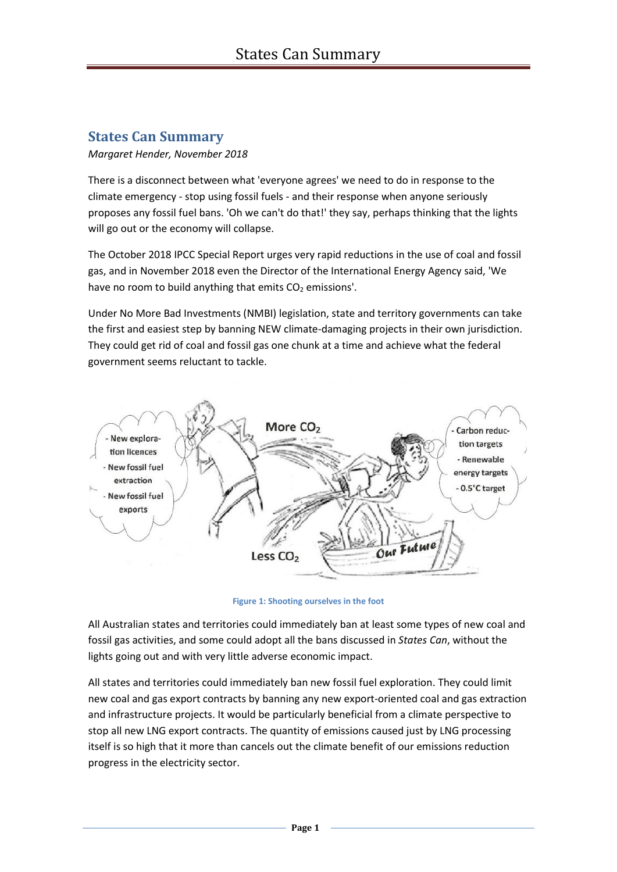## **States Can Summary**

## *Margaret Hender, November 2018*

There is a disconnect between what 'everyone agrees' we need to do in response to the climate emergency - stop using fossil fuels - and their response when anyone seriously proposes any fossil fuel bans. 'Oh we can't do that!' they say, perhaps thinking that the lights will go out or the economy will collapse.

The October 2018 IPCC Special Report urges very rapid reductions in the use of coal and fossil gas, and in November 2018 even the Director of the International Energy Agency said, 'We have no room to build anything that emits  $CO<sub>2</sub>$  emissions'.

Under No More Bad Investments (NMBI) legislation, state and territory governments can take the first and easiest step by banning NEW climate-damaging projects in their own jurisdiction. They could get rid of coal and fossil gas one chunk at a time and achieve what the federal government seems reluctant to tackle.



**Figure 1: Shooting ourselves in the foot**

All Australian states and territories could immediately ban at least some types of new coal and fossil gas activities, and some could adopt all the bans discussed in *States Can*, without the lights going out and with very little adverse economic impact.

All states and territories could immediately ban new fossil fuel exploration. They could limit new coal and gas export contracts by banning any new export-oriented coal and gas extraction and infrastructure projects. It would be particularly beneficial from a climate perspective to stop all new LNG export contracts. The quantity of emissions caused just by LNG processing itself is so high that it more than cancels out the climate benefit of our emissions reduction progress in the electricity sector.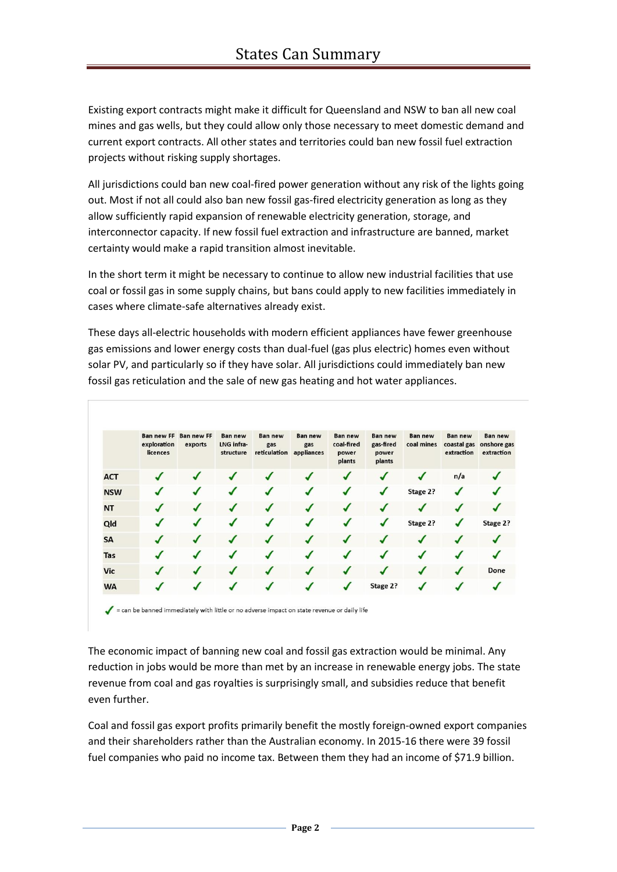Existing export contracts might make it difficult for Queensland and NSW to ban all new coal mines and gas wells, but they could allow only those necessary to meet domestic demand and current export contracts. All other states and territories could ban new fossil fuel extraction projects without risking supply shortages.

All jurisdictions could ban new coal-fired power generation without any risk of the lights going out. Most if not all could also ban new fossil gas-fired electricity generation as long as they allow sufficiently rapid expansion of renewable electricity generation, storage, and interconnector capacity. If new fossil fuel extraction and infrastructure are banned, market certainty would make a rapid transition almost inevitable.

In the short term it might be necessary to continue to allow new industrial facilities that use coal or fossil gas in some supply chains, but bans could apply to new facilities immediately in cases where climate-safe alternatives already exist.

These days all-electric households with modern efficient appliances have fewer greenhouse gas emissions and lower energy costs than dual-fuel (gas plus electric) homes even without solar PV, and particularly so if they have solar. All jurisdictions could immediately ban new fossil gas reticulation and the sale of new gas heating and hot water appliances.

|            | <b>Ban new FF</b><br>exploration<br>licences | <b>Ban new FF</b><br>exports | <b>Ban new</b><br>LNG infra-<br>structure | <b>Ban new</b><br>gas<br>reticulation | <b>Ban new</b><br>gas<br>appliances | <b>Ban new</b><br>coal-fired<br>power<br>plants | <b>Ban new</b><br>gas-fired<br>power<br>plants | <b>Ban new</b><br>coal mines | <b>Ban new</b><br>coastal gas<br>extraction | <b>Ban new</b><br>onshore gas<br>extraction |
|------------|----------------------------------------------|------------------------------|-------------------------------------------|---------------------------------------|-------------------------------------|-------------------------------------------------|------------------------------------------------|------------------------------|---------------------------------------------|---------------------------------------------|
| <b>ACT</b> | J                                            | ┙                            | √                                         |                                       |                                     | ┙                                               |                                                | J                            | n/a                                         |                                             |
| <b>NSW</b> |                                              |                              | J                                         |                                       |                                     | √                                               |                                                | Stage 2?                     | √                                           |                                             |
| <b>NT</b>  | J                                            | J                            | $\boldsymbol{J}$                          |                                       | $\sqrt{2}$                          | ┙                                               |                                                |                              |                                             |                                             |
| Qld        |                                              | ✔                            | J                                         |                                       | J                                   | J                                               | J                                              | Stage 2?                     |                                             | Stage 2?                                    |
| <b>SA</b>  |                                              |                              |                                           |                                       |                                     |                                                 |                                                | J                            |                                             |                                             |
| Tas        |                                              |                              |                                           |                                       |                                     |                                                 |                                                |                              |                                             |                                             |
| <b>Vic</b> |                                              |                              |                                           |                                       |                                     |                                                 |                                                |                              |                                             | Done                                        |
| <b>WA</b>  |                                              |                              |                                           |                                       |                                     |                                                 | Stage 2?                                       |                              |                                             |                                             |

= can be banned immediately with little or no adverse impact on state revenue or daily life

The economic impact of banning new coal and fossil gas extraction would be minimal. Any reduction in jobs would be more than met by an increase in renewable energy jobs. The state revenue from coal and gas royalties is surprisingly small, and subsidies reduce that benefit even further.

Coal and fossil gas export profits primarily benefit the mostly foreign-owned export companies and their shareholders rather than the Australian economy. In 2015-16 there were 39 fossil fuel companies who paid no income tax. Between them they had an income of \$71.9 billion.